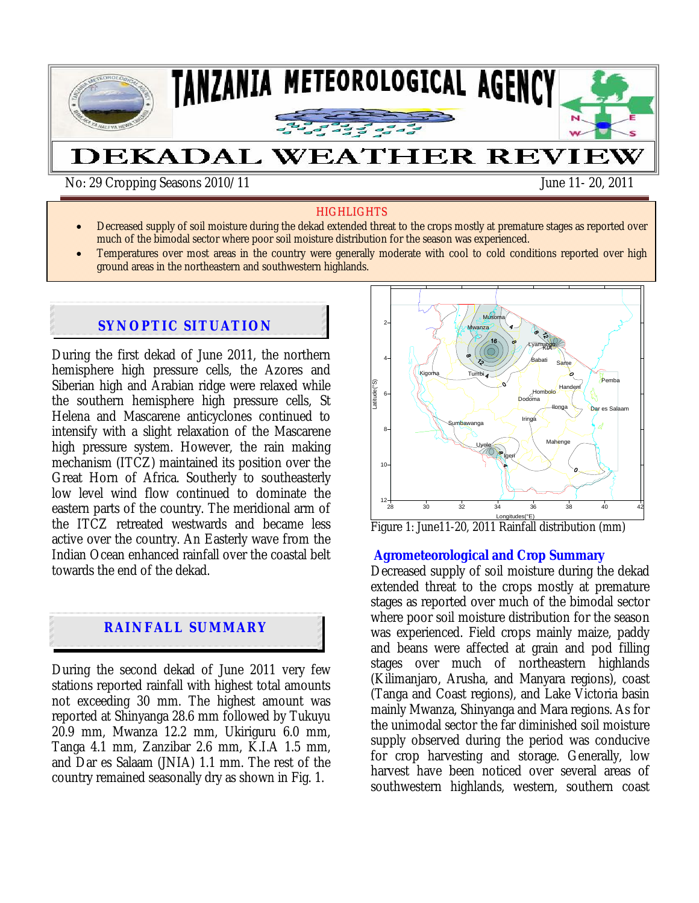

No: 29 Cropping Seasons 2010/11 June 11- 20, 2011

ļ

#### **HIGHLIGHTS**

- Decreased supply of soil moisture during the dekad extended threat to the crops mostly at premature stages as reported over much of the bimodal sector where poor soil moisture distribution for the season was experienced.
- Temperatures over most areas in the country were generally moderate with cool to cold conditions reported over high ground areas in the northeastern and southwestern highlands.

## **SYNOPTIC SITUATION**

During the first dekad of June 2011, the northern hemisphere high pressure cells, the Azores and Siberian high and Arabian ridge were relaxed while the southern hemisphere high pressure cells, St Helena and Mascarene anticyclones continued to intensify with a slight relaxation of the Mascarene high pressure system. However, the rain making mechanism (ITCZ) maintained its position over the Great Horn of Africa. Southerly to southeasterly low level wind flow continued to dominate the eastern parts of the country. The meridional arm of the ITCZ retreated westwards and became less active over the country. An Easterly wave from the Indian Ocean enhanced rainfall over the coastal belt towards the end of the dekad.

# **RAINFALL SUMMARY**

During the second dekad of June 2011 very few stations reported rainfall with highest total amounts not exceeding 30 mm. The highest amount was reported at Shinyanga 28.6 mm followed by Tukuyu 20.9 mm, Mwanza 12.2 mm, Ukiriguru 6.0 mm, Tanga 4.1 mm, Zanzibar 2.6 mm, K.I.A 1.5 mm, and Dar es Salaam (JNIA) 1.1 mm. The rest of the country remained seasonally dry as shown in Fig. 1.



Longitudes(°E<u>)</u><br>Figure 1: June11-20, 2011 Rainfall distribution (mm)

#### **Agrometeorological and Crop Summary**

Decreased supply of soil moisture during the dekad extended threat to the crops mostly at premature stages as reported over much of the bimodal sector where poor soil moisture distribution for the season was experienced. Field crops mainly maize, paddy and beans were affected at grain and pod filling stages over much of northeastern highlands (Kilimanjaro, Arusha, and Manyara regions), coast (Tanga and Coast regions), and Lake Victoria basin mainly Mwanza, Shinyanga and Mara regions. As for the unimodal sector the far diminished soil moisture supply observed during the period was conducive for crop harvesting and storage. Generally, low harvest have been noticed over several areas of southwestern highlands, western, southern coast